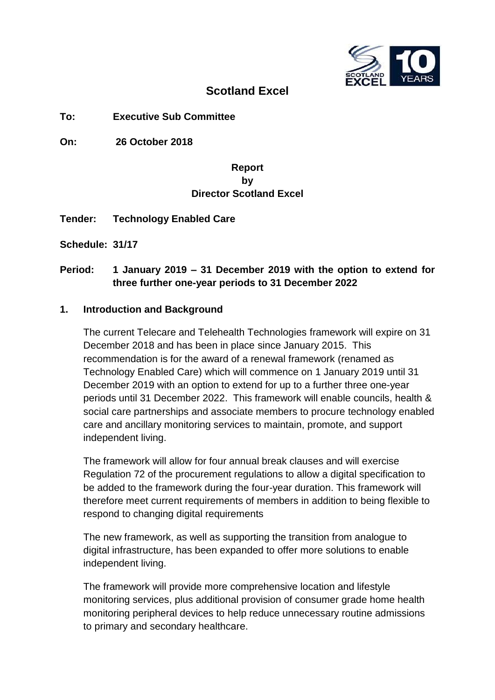

## **Scotland Excel**

#### **To: Executive Sub Committee**

**On: 26 October 2018**

#### **Report by Director Scotland Excel**

**Tender: Technology Enabled Care** 

**Schedule: 31/17**

#### **Period: 1 January 2019 – 31 December 2019 with the option to extend for three further one-year periods to 31 December 2022**

#### **1. Introduction and Background**

The current Telecare and Telehealth Technologies framework will expire on 31 December 2018 and has been in place since January 2015. This recommendation is for the award of a renewal framework (renamed as Technology Enabled Care) which will commence on 1 January 2019 until 31 December 2019 with an option to extend for up to a further three one-year periods until 31 December 2022. This framework will enable councils, health & social care partnerships and associate members to procure technology enabled care and ancillary monitoring services to maintain, promote, and support independent living.

The framework will allow for four annual break clauses and will exercise Regulation 72 of the procurement regulations to allow a digital specification to be added to the framework during the four-year duration. This framework will therefore meet current requirements of members in addition to being flexible to respond to changing digital requirements

The new framework, as well as supporting the transition from analogue to digital infrastructure, has been expanded to offer more solutions to enable independent living.

The framework will provide more comprehensive location and lifestyle monitoring services, plus additional provision of consumer grade home health monitoring peripheral devices to help reduce unnecessary routine admissions to primary and secondary healthcare.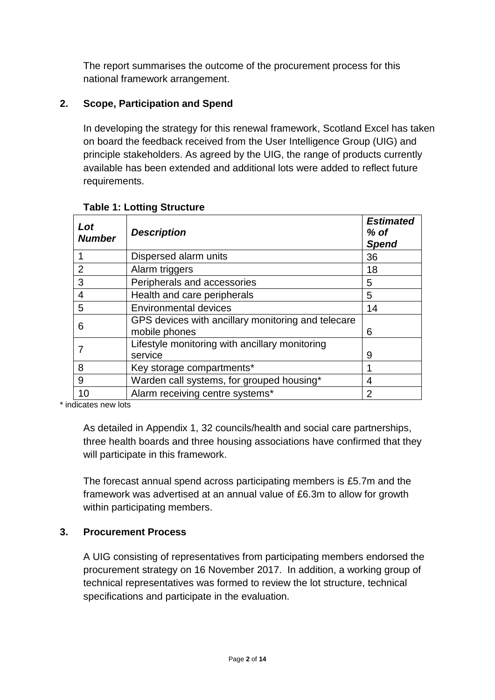The report summarises the outcome of the procurement process for this national framework arrangement.

## **2. Scope, Participation and Spend**

In developing the strategy for this renewal framework, Scotland Excel has taken on board the feedback received from the User Intelligence Group (UIG) and principle stakeholders. As agreed by the UIG, the range of products currently available has been extended and additional lots were added to reflect future requirements.

| Lot<br><b>Number</b> | <b>Description</b>                                                  | <b>Estimated</b><br>$%$ of<br><b>Spend</b> |
|----------------------|---------------------------------------------------------------------|--------------------------------------------|
|                      | Dispersed alarm units                                               | 36                                         |
| $\overline{2}$       | Alarm triggers                                                      | 18                                         |
| 3                    | Peripherals and accessories                                         | 5                                          |
| 4                    | Health and care peripherals                                         | 5                                          |
| 5                    | <b>Environmental devices</b>                                        | 14                                         |
| 6                    | GPS devices with ancillary monitoring and telecare<br>mobile phones | 6                                          |
|                      | Lifestyle monitoring with ancillary monitoring<br>service           | 9                                          |
| 8                    | Key storage compartments*                                           |                                            |
| 9                    | Warden call systems, for grouped housing*                           | 4                                          |
| 10                   | Alarm receiving centre systems*                                     | 2                                          |

#### **Table 1: Lotting Structure**

\* indicates new lots

As detailed in Appendix 1, 32 councils/health and social care partnerships, three health boards and three housing associations have confirmed that they will participate in this framework.

The forecast annual spend across participating members is £5.7m and the framework was advertised at an annual value of £6.3m to allow for growth within participating members.

#### **3. Procurement Process**

A UIG consisting of representatives from participating members endorsed the procurement strategy on 16 November 2017. In addition, a working group of technical representatives was formed to review the lot structure, technical specifications and participate in the evaluation.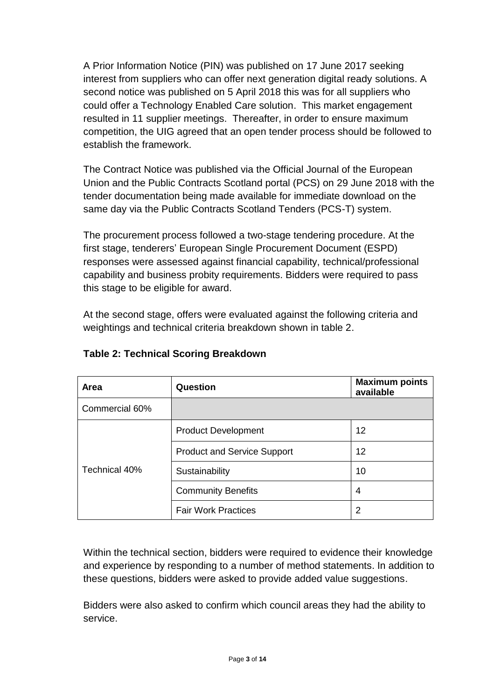A Prior Information Notice (PIN) was published on 17 June 2017 seeking interest from suppliers who can offer next generation digital ready solutions. A second notice was published on 5 April 2018 this was for all suppliers who could offer a Technology Enabled Care solution. This market engagement resulted in 11 supplier meetings. Thereafter, in order to ensure maximum competition, the UIG agreed that an open tender process should be followed to establish the framework.

The Contract Notice was published via the Official Journal of the European Union and the Public Contracts Scotland portal (PCS) on 29 June 2018 with the tender documentation being made available for immediate download on the same day via the Public Contracts Scotland Tenders (PCS-T) system.

The procurement process followed a two-stage tendering procedure. At the first stage, tenderers' European Single Procurement Document (ESPD) responses were assessed against financial capability, technical/professional capability and business probity requirements. Bidders were required to pass this stage to be eligible for award.

At the second stage, offers were evaluated against the following criteria and weightings and technical criteria breakdown shown in table 2.

| Area           | Question                           | <b>Maximum points</b><br>available |
|----------------|------------------------------------|------------------------------------|
| Commercial 60% |                                    |                                    |
|                | <b>Product Development</b>         | 12                                 |
|                | <b>Product and Service Support</b> | 12                                 |
| Technical 40%  | Sustainability                     | 10                                 |
|                | <b>Community Benefits</b>          | 4                                  |
|                | <b>Fair Work Practices</b>         | 2                                  |

## **Table 2: Technical Scoring Breakdown**

Within the technical section, bidders were required to evidence their knowledge and experience by responding to a number of method statements. In addition to these questions, bidders were asked to provide added value suggestions.

Bidders were also asked to confirm which council areas they had the ability to service.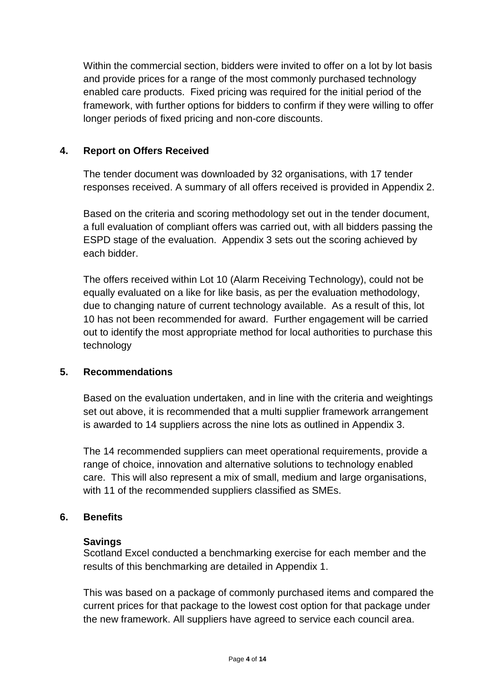Within the commercial section, bidders were invited to offer on a lot by lot basis and provide prices for a range of the most commonly purchased technology enabled care products. Fixed pricing was required for the initial period of the framework, with further options for bidders to confirm if they were willing to offer longer periods of fixed pricing and non-core discounts.

#### **4. Report on Offers Received**

The tender document was downloaded by 32 organisations, with 17 tender responses received. A summary of all offers received is provided in Appendix 2.

Based on the criteria and scoring methodology set out in the tender document, a full evaluation of compliant offers was carried out, with all bidders passing the ESPD stage of the evaluation. Appendix 3 sets out the scoring achieved by each bidder.

The offers received within Lot 10 (Alarm Receiving Technology), could not be equally evaluated on a like for like basis, as per the evaluation methodology, due to changing nature of current technology available. As a result of this, lot 10 has not been recommended for award. Further engagement will be carried out to identify the most appropriate method for local authorities to purchase this technology

#### **5. Recommendations**

Based on the evaluation undertaken, and in line with the criteria and weightings set out above, it is recommended that a multi supplier framework arrangement is awarded to 14 suppliers across the nine lots as outlined in Appendix 3.

The 14 recommended suppliers can meet operational requirements, provide a range of choice, innovation and alternative solutions to technology enabled care. This will also represent a mix of small, medium and large organisations, with 11 of the recommended suppliers classified as SMEs.

## **6. Benefits**

#### **Savings**

Scotland Excel conducted a benchmarking exercise for each member and the results of this benchmarking are detailed in Appendix 1.

This was based on a package of commonly purchased items and compared the current prices for that package to the lowest cost option for that package under the new framework. All suppliers have agreed to service each council area.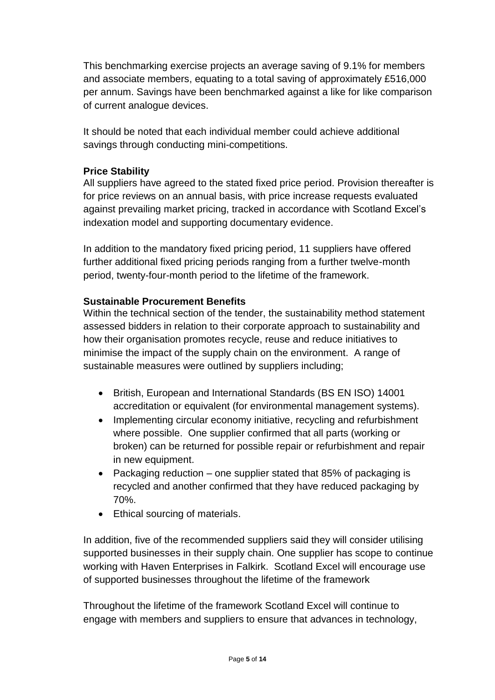This benchmarking exercise projects an average saving of 9.1% for members and associate members, equating to a total saving of approximately £516,000 per annum. Savings have been benchmarked against a like for like comparison of current analogue devices.

It should be noted that each individual member could achieve additional savings through conducting mini-competitions.

### **Price Stability**

All suppliers have agreed to the stated fixed price period. Provision thereafter is for price reviews on an annual basis, with price increase requests evaluated against prevailing market pricing, tracked in accordance with Scotland Excel's indexation model and supporting documentary evidence.

In addition to the mandatory fixed pricing period, 11 suppliers have offered further additional fixed pricing periods ranging from a further twelve-month period, twenty-four-month period to the lifetime of the framework.

#### **Sustainable Procurement Benefits**

Within the technical section of the tender, the sustainability method statement assessed bidders in relation to their corporate approach to sustainability and how their organisation promotes recycle, reuse and reduce initiatives to minimise the impact of the supply chain on the environment. A range of sustainable measures were outlined by suppliers including;

- British, European and International Standards (BS EN ISO) 14001 accreditation or equivalent (for environmental management systems).
- Implementing circular economy initiative, recycling and refurbishment where possible. One supplier confirmed that all parts (working or broken) can be returned for possible repair or refurbishment and repair in new equipment.
- Packaging reduction one supplier stated that 85% of packaging is recycled and another confirmed that they have reduced packaging by 70%.
- Ethical sourcing of materials.

In addition, five of the recommended suppliers said they will consider utilising supported businesses in their supply chain. One supplier has scope to continue working with Haven Enterprises in Falkirk. Scotland Excel will encourage use of supported businesses throughout the lifetime of the framework

Throughout the lifetime of the framework Scotland Excel will continue to engage with members and suppliers to ensure that advances in technology,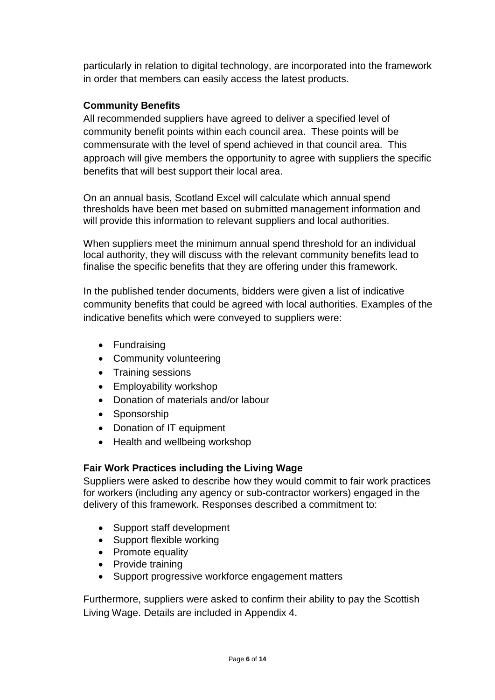particularly in relation to digital technology, are incorporated into the framework in order that members can easily access the latest products.

### **Community Benefits**

All recommended suppliers have agreed to deliver a specified level of community benefit points within each council area. These points will be commensurate with the level of spend achieved in that council area. This approach will give members the opportunity to agree with suppliers the specific benefits that will best support their local area.

On an annual basis, Scotland Excel will calculate which annual spend thresholds have been met based on submitted management information and will provide this information to relevant suppliers and local authorities.

When suppliers meet the minimum annual spend threshold for an individual local authority, they will discuss with the relevant community benefits lead to finalise the specific benefits that they are offering under this framework.

In the published tender documents, bidders were given a list of indicative community benefits that could be agreed with local authorities. Examples of the indicative benefits which were conveyed to suppliers were:

- Fundraising
- Community volunteering
- Training sessions
- Employability workshop
- Donation of materials and/or labour
- Sponsorship
- Donation of IT equipment
- Health and wellbeing workshop

#### **Fair Work Practices including the Living Wage**

Suppliers were asked to describe how they would commit to fair work practices for workers (including any agency or sub-contractor workers) engaged in the delivery of this framework. Responses described a commitment to:

- Support staff development
- Support flexible working
- Promote equality
- Provide training
- Support progressive workforce engagement matters

Furthermore, suppliers were asked to confirm their ability to pay the Scottish Living Wage. Details are included in Appendix 4.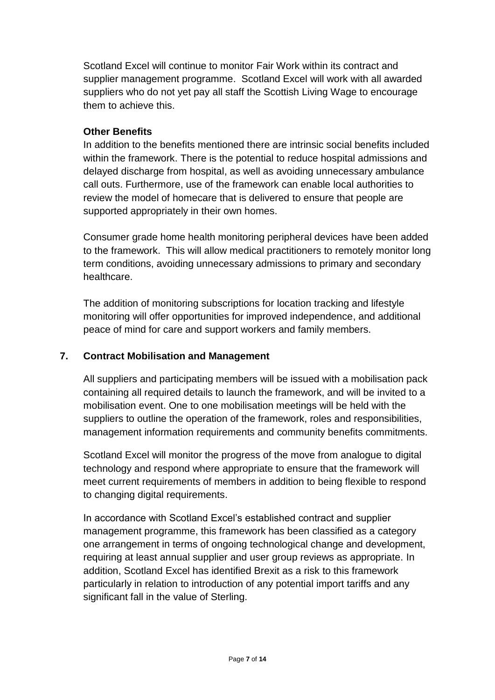Scotland Excel will continue to monitor Fair Work within its contract and supplier management programme. Scotland Excel will work with all awarded suppliers who do not yet pay all staff the Scottish Living Wage to encourage them to achieve this.

#### **Other Benefits**

In addition to the benefits mentioned there are intrinsic social benefits included within the framework. There is the potential to reduce hospital admissions and delayed discharge from hospital, as well as avoiding unnecessary ambulance call outs. Furthermore, use of the framework can enable local authorities to review the model of homecare that is delivered to ensure that people are supported appropriately in their own homes.

Consumer grade home health monitoring peripheral devices have been added to the framework. This will allow medical practitioners to remotely monitor long term conditions, avoiding unnecessary admissions to primary and secondary healthcare.

The addition of monitoring subscriptions for location tracking and lifestyle monitoring will offer opportunities for improved independence, and additional peace of mind for care and support workers and family members.

### **7. Contract Mobilisation and Management**

All suppliers and participating members will be issued with a mobilisation pack containing all required details to launch the framework, and will be invited to a mobilisation event. One to one mobilisation meetings will be held with the suppliers to outline the operation of the framework, roles and responsibilities, management information requirements and community benefits commitments.

Scotland Excel will monitor the progress of the move from analogue to digital technology and respond where appropriate to ensure that the framework will meet current requirements of members in addition to being flexible to respond to changing digital requirements.

In accordance with Scotland Excel's established contract and supplier management programme, this framework has been classified as a category one arrangement in terms of ongoing technological change and development, requiring at least annual supplier and user group reviews as appropriate. In addition, Scotland Excel has identified Brexit as a risk to this framework particularly in relation to introduction of any potential import tariffs and any significant fall in the value of Sterling.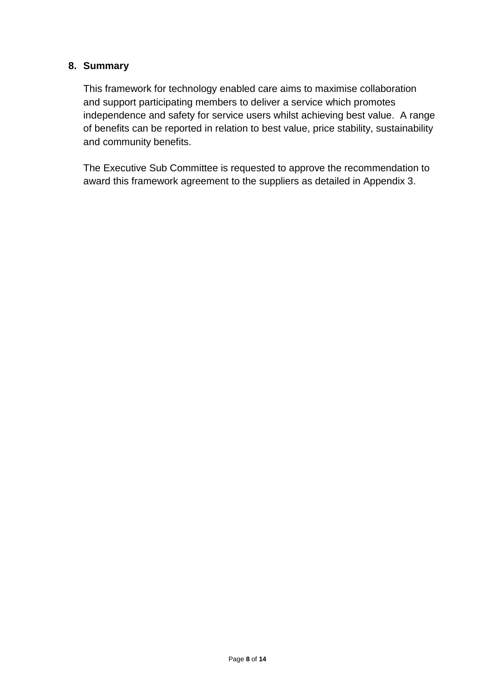#### **8. Summary**

This framework for technology enabled care aims to maximise collaboration and support participating members to deliver a service which promotes independence and safety for service users whilst achieving best value. A range of benefits can be reported in relation to best value, price stability, sustainability and community benefits.

The Executive Sub Committee is requested to approve the recommendation to award this framework agreement to the suppliers as detailed in Appendix 3.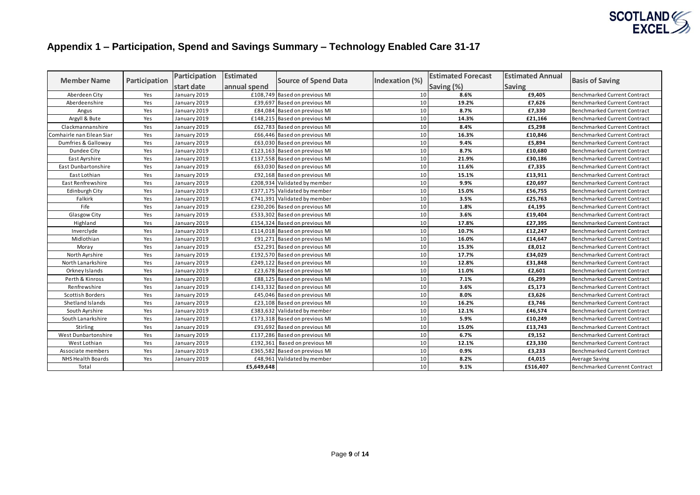

# **Appendix 1 – Participation, Spend and Savings Summary – Technology Enabled Care 31-17**

| <b>Member Name</b>        | Participation |              |              | Participation                 | <b>Estimated</b> | <b>Source of Spend Data</b> | Indexation (%) | <b>Estimated Forecast</b>           | <b>Estimated Annual</b> |  |
|---------------------------|---------------|--------------|--------------|-------------------------------|------------------|-----------------------------|----------------|-------------------------------------|-------------------------|--|
|                           |               | start date   | annual spend |                               |                  | Saving (%)                  | <b>Saving</b>  | <b>Basis of Saving</b>              |                         |  |
| Aberdeen City             | Yes           | January 2019 |              | £108,749 Based on previous MI | 10               | 8.6%                        | £9,405         | Benchmarked Current Contract        |                         |  |
| Aberdeenshire             | Yes           | January 2019 |              | £39,697 Based on previous MI  | 10               | 19.2%                       | £7,626         | Benchmarked Current Contract        |                         |  |
| Angus                     | Yes           | January 2019 |              | £84,084 Based on previous MI  | 10               | 8.7%                        | £7,330         | Benchmarked Current Contract        |                         |  |
| Argyll & Bute             | Yes           | January 2019 |              | £148,215 Based on previous MI | 10               | 14.3%                       | £21,166        | Benchmarked Current Contract        |                         |  |
| Clackmannanshire          | Yes           | January 2019 |              | £62,783 Based on previous MI  | 10               | 8.4%                        | £5,298         | Benchmarked Current Contract        |                         |  |
| Comhairle nan Eilean Siar | Yes           | January 2019 |              | £66,446 Based on previous MI  | 10               | 16.3%                       | £10,846        | <b>Benchmarked Current Contract</b> |                         |  |
| Dumfries & Galloway       | Yes           | January 2019 |              | £63,030 Based on previous MI  | 10               | 9.4%                        | £5,894         | Benchmarked Current Contract        |                         |  |
| Dundee City               | Yes           | January 2019 |              | £123,163 Based on previous MI | 10               | 8.7%                        | £10,680        | Benchmarked Current Contract        |                         |  |
| East Ayrshire             | Yes           | January 2019 |              | £137,558 Based on previous MI | 10               | 21.9%                       | £30,186        | Benchmarked Current Contract        |                         |  |
| East Dunbartonshire       | Yes           | January 2019 |              | £63,030 Based on previous MI  | 10               | 11.6%                       | £7,335         | <b>Benchmarked Current Contract</b> |                         |  |
| East Lothian              | Yes           | January 2019 |              | £92,168 Based on previous MI  | 10               | 15.1%                       | £13,911        | Benchmarked Current Contract        |                         |  |
| East Renfrewshire         | Yes           | January 2019 |              | £208,934 Validated by member  | 10               | 9.9%                        | £20,697        | Benchmarked Current Contract        |                         |  |
| Edinburgh City            | Yes           | January 2019 |              | £377,175 Validated by member  | 10               | 15.0%                       | £56,755        | Benchmarked Current Contract        |                         |  |
| Falkirk                   | Yes           | January 2019 |              | £741,391 Validated by member  | 10               | 3.5%                        | £25,763        | <b>Benchmarked Current Contract</b> |                         |  |
| Fife                      | Yes           | January 2019 |              | £230,206 Based on previous MI | 10               | 1.8%                        | £4,195         | Benchmarked Current Contract        |                         |  |
| Glasgow City              | Yes           | January 2019 |              | £533,302 Based on previous MI | 10               | 3.6%                        | £19,404        | Benchmarked Current Contract        |                         |  |
| Highland                  | Yes           | January 2019 |              | £154,324 Based on previous MI | 10               | 17.8%                       | £27,395        | Benchmarked Current Contract        |                         |  |
| Inverclyde                | Yes           | January 2019 |              | £114,018 Based on previous MI | 10               | 10.7%                       | £12,247        | <b>Benchmarked Current Contract</b> |                         |  |
| Midlothian                | Yes           | January 2019 |              | £91,271 Based on previous MI  | 10               | 16.0%                       | £14,647        | Benchmarked Current Contract        |                         |  |
| Moray                     | Yes           | January 2019 |              | £52,291 Based on previous MI  | 10               | 15.3%                       | £8,012         | <b>Benchmarked Current Contract</b> |                         |  |
| North Ayrshire            | Yes           | January 2019 |              | £192,570 Based on previous MI | 10               | 17.7%                       | £34,029        | Benchmarked Current Contract        |                         |  |
| North Lanarkshire         | Yes           | January 2019 |              | £249,122 Based on previous MI | 10               | 12.8%                       | £31,848        | <b>Benchmarked Current Contract</b> |                         |  |
| Orkney Islands            | Yes           | January 2019 |              | £23,678 Based on previous MI  | 10               | 11.0%                       | £2,601         | Benchmarked Current Contract        |                         |  |
| Perth & Kinross           | Yes           | January 2019 |              | £88,125 Based on previous MI  | 10               | 7.1%                        | £6,299         | Benchmarked Current Contract        |                         |  |
| Renfrewshire              | Yes           | January 2019 |              | £143,332 Based on previous MI | 10               | 3.6%                        | £5,173         | Benchmarked Current Contract        |                         |  |
| Scottish Borders          | Yes           | January 2019 |              | £45,046 Based on previous MI  | 10               | 8.0%                        | £3,626         | <b>Benchmarked Current Contract</b> |                         |  |
| Shetland Islands          | Yes           | January 2019 |              | £23,108 Based on previous MI  | 10               | 16.2%                       | £3,746         | Benchmarked Current Contract        |                         |  |
| South Ayrshire            | Yes           | January 2019 |              | £383,632 Validated by member  | 10               | 12.1%                       | £46,574        | <b>Benchmarked Current Contract</b> |                         |  |
| South Lanarkshire         | Yes           | January 2019 |              | £173,318 Based on previous MI | 10               | 5.9%                        | £10,249        | Benchmarked Current Contract        |                         |  |
| Stirling                  | Yes           | January 2019 |              | £91,692 Based on previous MI  | 10               | 15.0%                       | £13,743        | Benchmarked Current Contract        |                         |  |
| West Dunbartonshire       | Yes           | January 2019 |              | £137,286 Based on previous MI | 10               | 6.7%                        | £9,152         | Benchmarked Current Contract        |                         |  |
| West Lothian              | Yes           | January 2019 |              | £192,361 Based on previous MI | 10               | 12.1%                       | £23,330        | <b>Benchmarked Current Contract</b> |                         |  |
| Associate members         | Yes           | January 2019 |              | £365,582 Based on previous MI | 10               | 0.9%                        | £3,233         | Benchmarked Current Contract        |                         |  |
| <b>NHS Health Boards</b>  | Yes           | January 2019 |              | £48,961 Validated by member   | 10               | 8.2%                        | £4,015         | Average Saving                      |                         |  |
| Total                     |               |              | £5,649,648   |                               | 10               | 9.1%                        | £516,407       | Benchmarked Currennt Contract       |                         |  |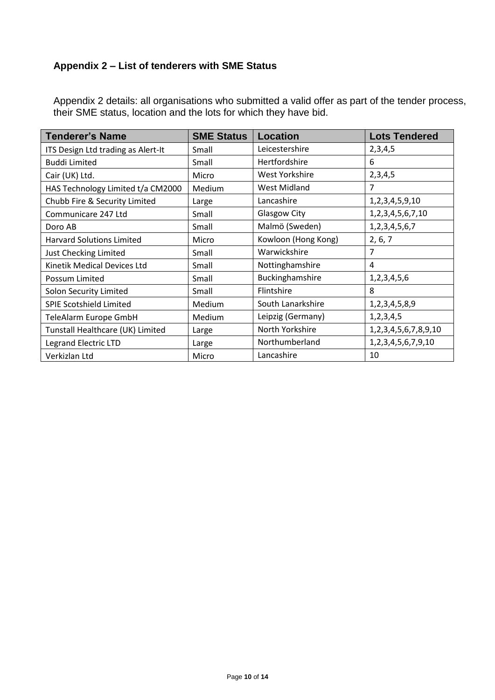## **Appendix 2 – List of tenderers with SME Status**

Appendix 2 details: all organisations who submitted a valid offer as part of the tender process, their SME status, location and the lots for which they have bid.

| <b>Tenderer's Name</b>             | <b>SME Status</b> | <b>Location</b>     | <b>Lots Tendered</b> |
|------------------------------------|-------------------|---------------------|----------------------|
| ITS Design Ltd trading as Alert-It | Small             | Leicestershire      | 2,3,4,5              |
| <b>Buddi Limited</b>               | Small             | Hertfordshire       | 6                    |
| Cair (UK) Ltd.                     | Micro             | West Yorkshire      | 2,3,4,5              |
| HAS Technology Limited t/a CM2000  | Medium            | <b>West Midland</b> | $\overline{7}$       |
| Chubb Fire & Security Limited      | Large             | Lancashire          | 1,2,3,4,5,9,10       |
| Communicare 247 Ltd                | Small             | <b>Glasgow City</b> | 1,2,3,4,5,6,7,10     |
| Doro AB                            | Small             | Malmö (Sweden)      | 1, 2, 3, 4, 5, 6, 7  |
| <b>Harvard Solutions Limited</b>   | Micro             | Kowloon (Hong Kong) | 2, 6, 7              |
| Just Checking Limited              | Small             | Warwickshire        | 7                    |
| Kinetik Medical Devices Ltd        | Small             | Nottinghamshire     | 4                    |
| Possum Limited                     | Small             | Buckinghamshire     | 1,2,3,4,5,6          |
| Solon Security Limited             | Small             | Flintshire          | 8                    |
| <b>SPIE Scotshield Limited</b>     | Medium            | South Lanarkshire   | 1, 2, 3, 4, 5, 8, 9  |
| TeleAlarm Europe GmbH              | Medium            | Leipzig (Germany)   | 1, 2, 3, 4, 5        |
| Tunstall Healthcare (UK) Limited   | Large             | North Yorkshire     | 1,2,3,4,5,6,7,8,9,10 |
| <b>Legrand Electric LTD</b>        | Large             | Northumberland      | 1,2,3,4,5,6,7,9,10   |
| Verkizlan Ltd                      | Micro             | Lancashire          | 10                   |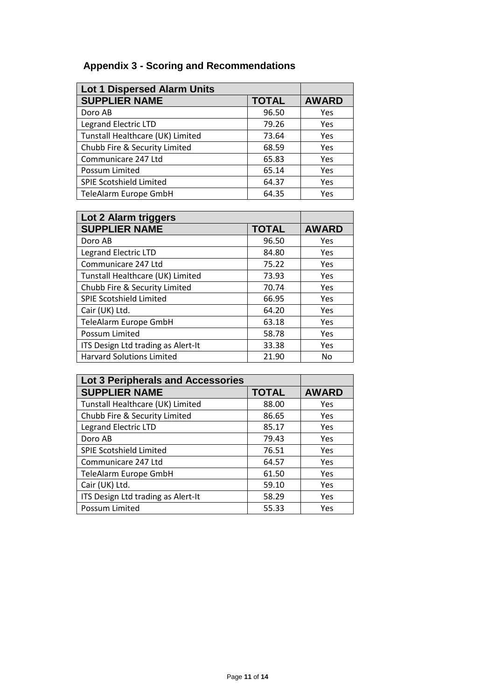# **Appendix 3 - Scoring and Recommendations**

| <b>Lot 1 Dispersed Alarm Units</b> |              |              |
|------------------------------------|--------------|--------------|
| <b>SUPPLIER NAME</b>               | <b>TOTAL</b> | <b>AWARD</b> |
| Doro AB                            | 96.50        | Yes          |
| <b>Legrand Electric LTD</b>        | 79.26        | Yes          |
| Tunstall Healthcare (UK) Limited   | 73.64        | Yes          |
| Chubb Fire & Security Limited      | 68.59        | Yes          |
| Communicare 247 Ltd                | 65.83        | Yes          |
| Possum Limited                     | 65.14        | Yes          |
| <b>SPIE Scotshield Limited</b>     | 64.37        | Yes          |
| TeleAlarm Europe GmbH              | 64.35        | Yes          |

| Lot 2 Alarm triggers               |              |              |
|------------------------------------|--------------|--------------|
| <b>SUPPLIER NAME</b>               | <b>TOTAL</b> | <b>AWARD</b> |
| Doro AB                            | 96.50        | Yes          |
| <b>Legrand Electric LTD</b>        | 84.80        | Yes          |
| Communicare 247 Ltd                | 75.22        | Yes          |
| Tunstall Healthcare (UK) Limited   | 73.93        | Yes          |
| Chubb Fire & Security Limited      | 70.74        | Yes          |
| <b>SPIE Scotshield Limited</b>     | 66.95        | Yes          |
| Cair (UK) Ltd.                     | 64.20        | Yes          |
| TeleAlarm Europe GmbH              | 63.18        | Yes          |
| Possum Limited                     | 58.78        | Yes          |
| ITS Design Ltd trading as Alert-It | 33.38        | Yes          |
| <b>Harvard Solutions Limited</b>   | 21.90        | No           |

| <b>Lot 3 Peripherals and Accessories</b> |              |              |
|------------------------------------------|--------------|--------------|
| <b>SUPPLIER NAME</b>                     | <b>TOTAL</b> | <b>AWARD</b> |
| Tunstall Healthcare (UK) Limited         | 88.00        | Yes          |
| Chubb Fire & Security Limited            | 86.65        | Yes          |
| <b>Legrand Electric LTD</b>              | 85.17        | Yes          |
| Doro AB                                  | 79.43        | Yes          |
| <b>SPIE Scotshield Limited</b>           | 76.51        | Yes          |
| Communicare 247 Ltd                      | 64.57        | Yes          |
| TeleAlarm Europe GmbH                    | 61.50        | Yes          |
| Cair (UK) Ltd.                           | 59.10        | Yes          |
| ITS Design Ltd trading as Alert-It       | 58.29        | Yes          |
| Possum Limited                           | 55.33        | Yes          |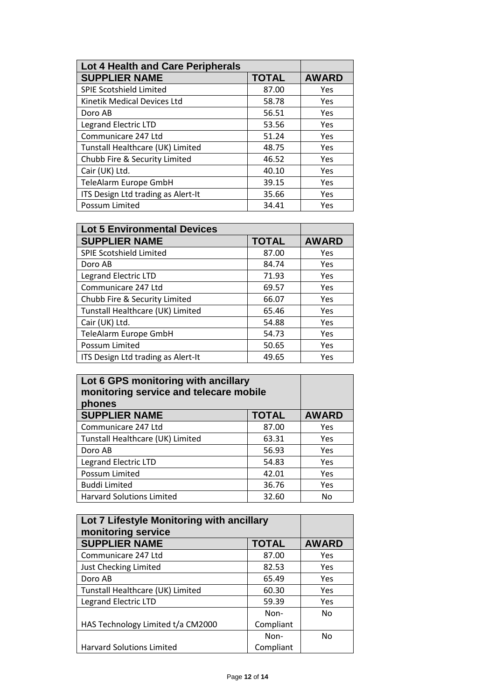| Lot 4 Health and Care Peripherals  |              |              |
|------------------------------------|--------------|--------------|
| <b>SUPPLIER NAME</b>               | <b>TOTAL</b> | <b>AWARD</b> |
| <b>SPIE Scotshield Limited</b>     | 87.00        | Yes          |
| Kinetik Medical Devices Ltd        | 58.78        | Yes          |
| Doro AB                            | 56.51        | Yes          |
| <b>Legrand Electric LTD</b>        | 53.56        | Yes          |
| Communicare 247 Ltd                | 51.24        | Yes          |
| Tunstall Healthcare (UK) Limited   | 48.75        | Yes          |
| Chubb Fire & Security Limited      | 46.52        | Yes          |
| Cair (UK) Ltd.                     | 40.10        | Yes          |
| TeleAlarm Europe GmbH              | 39.15        | Yes          |
| ITS Design Ltd trading as Alert-It | 35.66        | Yes          |
| Possum Limited                     | 34.41        | Yes          |

| <b>Lot 5 Environmental Devices</b> |              |              |
|------------------------------------|--------------|--------------|
| <b>SUPPLIER NAME</b>               | <b>TOTAL</b> | <b>AWARD</b> |
| <b>SPIE Scotshield Limited</b>     | 87.00        | Yes          |
| Doro AB                            | 84.74        | Yes          |
| <b>Legrand Electric LTD</b>        | 71.93        | Yes          |
| Communicare 247 Ltd                | 69.57        | Yes          |
| Chubb Fire & Security Limited      | 66.07        | Yes          |
| Tunstall Healthcare (UK) Limited   | 65.46        | Yes          |
| Cair (UK) Ltd.                     | 54.88        | Yes          |
| TeleAlarm Europe GmbH              | 54.73        | Yes          |
| Possum Limited                     | 50.65        | Yes          |
| ITS Design Ltd trading as Alert-It | 49.65        | Yes          |

| Lot 6 GPS monitoring with ancillary<br>monitoring service and telecare mobile<br>phones |              |     |
|-----------------------------------------------------------------------------------------|--------------|-----|
| <b>SUPPLIER NAME</b>                                                                    | <b>AWARD</b> |     |
| Communicare 247 Ltd                                                                     | 87.00        | Yes |
| Tunstall Healthcare (UK) Limited                                                        | 63.31        | Yes |
| Doro AB                                                                                 | 56.93        | Yes |
| Legrand Electric LTD                                                                    | 54.83        | Yes |
| Possum Limited<br>42.01                                                                 |              | Yes |
| <b>Buddi Limited</b>                                                                    | Yes          |     |
| <b>Harvard Solutions Limited</b>                                                        | 32.60        | No  |

| Lot 7 Lifestyle Monitoring with ancillary<br>monitoring service |              |              |
|-----------------------------------------------------------------|--------------|--------------|
| <b>SUPPLIER NAME</b>                                            | <b>TOTAL</b> | <b>AWARD</b> |
| Communicare 247 Ltd                                             | 87.00        | Yes          |
| Just Checking Limited                                           | 82.53        | Yes          |
| Doro AB                                                         | 65.49        | Yes          |
| Tunstall Healthcare (UK) Limited                                | 60.30        | Yes          |
| <b>Legrand Electric LTD</b>                                     | 59.39        | Yes          |
|                                                                 | Non-         | No           |
| HAS Technology Limited t/a CM2000                               | Compliant    |              |
|                                                                 | Non-         | No           |
| <b>Harvard Solutions Limited</b>                                | Compliant    |              |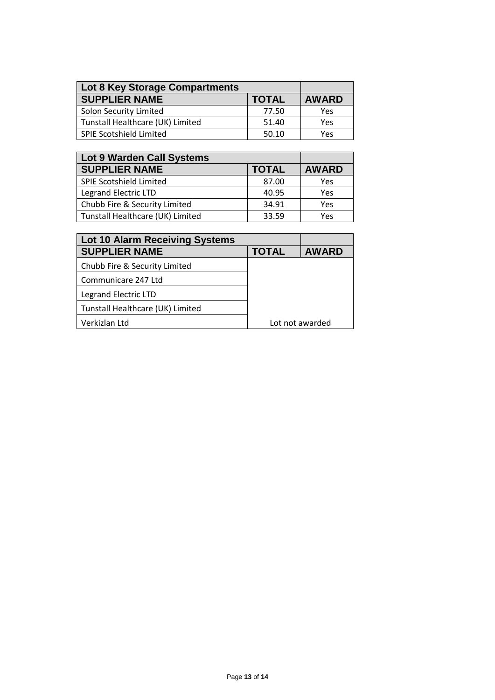| <b>Lot 8 Key Storage Compartments</b> |              |              |
|---------------------------------------|--------------|--------------|
| <b>SUPPLIER NAME</b>                  | <b>TOTAL</b> | <b>AWARD</b> |
| <b>Solon Security Limited</b>         | 77.50        | Yes          |
| Tunstall Healthcare (UK) Limited      | 51.40        | Yes          |
| <b>SPIE Scotshield Limited</b>        | 50.10        | Yes          |

| Lot 9 Warden Call Systems        |              |              |
|----------------------------------|--------------|--------------|
| <b>SUPPLIER NAME</b>             | <b>TOTAL</b> | <b>AWARD</b> |
| SPIE Scotshield Limited          | 87.00        | Yes          |
| <b>Legrand Electric LTD</b>      | 40.95        | Yes          |
| Chubb Fire & Security Limited    | 34.91        | Yes          |
| Tunstall Healthcare (UK) Limited | 33.59        | Yes          |

| <b>Lot 10 Alarm Receiving Systems</b> |              |                 |
|---------------------------------------|--------------|-----------------|
| <b>SUPPLIER NAME</b>                  | <b>TOTAL</b> | <b>AWARD</b>    |
| Chubb Fire & Security Limited         |              |                 |
| Communicare 247 Ltd                   |              |                 |
| <b>Legrand Electric LTD</b>           |              |                 |
| Tunstall Healthcare (UK) Limited      |              |                 |
| Verkizlan Ltd                         |              | Lot not awarded |